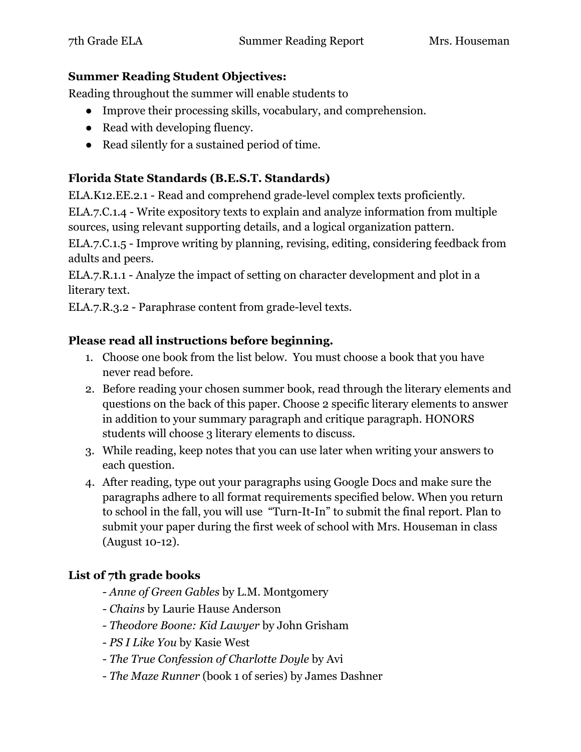#### **Summer Reading Student Objectives:**

Reading throughout the summer will enable students to

- Improve their processing skills, vocabulary, and comprehension.
- Read with developing fluency.
- Read silently for a sustained period of time.

## **Florida State Standards (B.E.S.T. Standards)**

ELA.K12.EE.2.1 - Read and comprehend grade-level complex texts proficiently.

ELA.7.C.1.4 - Write expository texts to explain and analyze information from multiple sources, using relevant supporting details, and a logical organization pattern.

ELA.7.C.1.5 - Improve writing by planning, revising, editing, considering feedback from adults and peers.

ELA.7.R.1.1 - Analyze the impact of setting on character development and plot in a literary text.

ELA.7.R.3.2 - Paraphrase content from grade-level texts.

### **Please read all instructions before beginning.**

- 1. Choose one book from the list below. You must choose a book that you have never read before.
- 2. Before reading your chosen summer book, read through the literary elements and questions on the back of this paper. Choose 2 specific literary elements to answer in addition to your summary paragraph and critique paragraph. HONORS students will choose 3 literary elements to discuss.
- 3. While reading, keep notes that you can use later when writing your answers to each question.
- 4. After reading, type out your paragraphs using Google Docs and make sure the paragraphs adhere to all format requirements specified below. When you return to school in the fall, you will use "Turn-It-In" to submit the final report. Plan to submit your paper during the first week of school with Mrs. Houseman in class (August 10-12).

# **List of 7th grade books**

- *Anne of Green Gables* by L.M. Montgomery
- *Chains* by Laurie Hause Anderson
- *Theodore Boone: Kid Lawyer* by John Grisham
- *PS I Like You* by Kasie West
- *The True Confession of Charlotte Doyle* by Avi
- *The Maze Runner* (book 1 of series) by James Dashner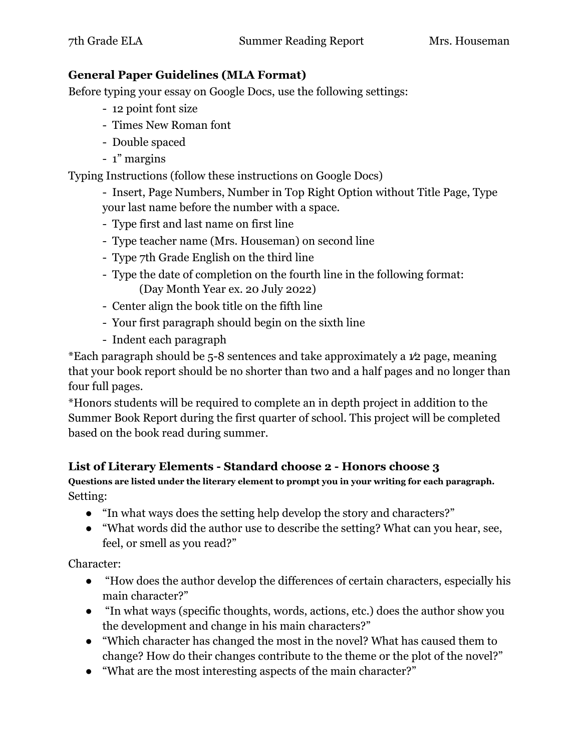#### **General Paper Guidelines (MLA Format)**

Before typing your essay on Google Docs, use the following settings:

- 12 point font size
- Times New Roman font
- Double spaced
- 1" margins

Typing Instructions (follow these instructions on Google Docs)

- Insert, Page Numbers, Number in Top Right Option without Title Page, Type your last name before the number with a space.

- Type first and last name on first line
- Type teacher name (Mrs. Houseman) on second line
- Type 7th Grade English on the third line
- Type the date of completion on the fourth line in the following format: (Day Month Year ex. 20 July 2022)
- Center align the book title on the fifth line
- Your first paragraph should begin on the sixth line
- Indent each paragraph

\*Each paragraph should be 5-8 sentences and take approximately a 1⁄2 page, meaning that your book report should be no shorter than two and a half pages and no longer than four full pages.

\*Honors students will be required to complete an in depth project in addition to the Summer Book Report during the first quarter of school. This project will be completed based on the book read during summer.

### **List of Literary Elements - Standard choose 2 - Honors choose 3**

**Questions are listed under the literary element to prompt you in your writing for each paragraph.** Setting:

- "In what ways does the setting help develop the story and characters?"
- "What words did the author use to describe the setting? What can you hear, see, feel, or smell as you read?"

Character:

- "How does the author develop the differences of certain characters, especially his main character?"
- "In what ways (specific thoughts, words, actions, etc.) does the author show you the development and change in his main characters?"
- "Which character has changed the most in the novel? What has caused them to change? How do their changes contribute to the theme or the plot of the novel?"
- "What are the most interesting aspects of the main character?"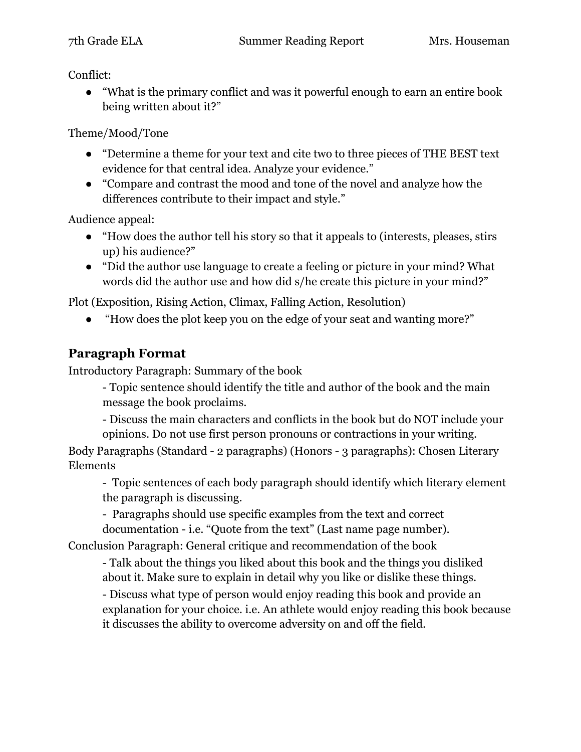Conflict:

● "What is the primary conflict and was it powerful enough to earn an entire book being written about it?"

Theme/Mood/Tone

- "Determine a theme for your text and cite two to three pieces of THE BEST text evidence for that central idea. Analyze your evidence."
- "Compare and contrast the mood and tone of the novel and analyze how the differences contribute to their impact and style."

Audience appeal:

- "How does the author tell his story so that it appeals to (interests, pleases, stirs up) his audience?"
- "Did the author use language to create a feeling or picture in your mind? What words did the author use and how did s/he create this picture in your mind?"

Plot (Exposition, Rising Action, Climax, Falling Action, Resolution)

● "How does the plot keep you on the edge of your seat and wanting more?"

# **Paragraph Format**

Introductory Paragraph: Summary of the book

- Topic sentence should identify the title and author of the book and the main message the book proclaims.

- Discuss the main characters and conflicts in the book but do NOT include your opinions. Do not use first person pronouns or contractions in your writing.

Body Paragraphs (Standard - 2 paragraphs) (Honors - 3 paragraphs): Chosen Literary Elements

- Topic sentences of each body paragraph should identify which literary element the paragraph is discussing.

- Paragraphs should use specific examples from the text and correct

documentation - i.e. "Quote from the text" (Last name page number). Conclusion Paragraph: General critique and recommendation of the book

- Talk about the things you liked about this book and the things you disliked

about it. Make sure to explain in detail why you like or dislike these things.

- Discuss what type of person would enjoy reading this book and provide an explanation for your choice. i.e. An athlete would enjoy reading this book because it discusses the ability to overcome adversity on and off the field.